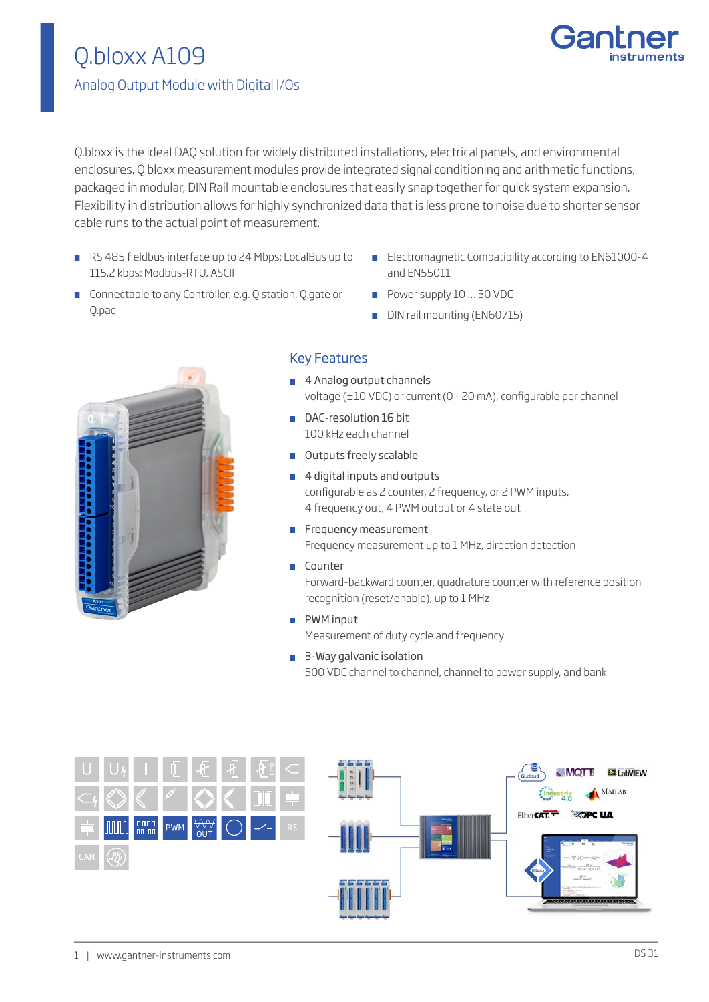

Q.bloxx is the ideal DAQ solution for widely distributed installations, electrical panels, and environmental enclosures. Q.bloxx measurement modules provide integrated signal conditioning and arithmetic functions, packaged in modular, DIN Rail mountable enclosures that easily snap together for quick system expansion. Flexibility in distribution allows for highly synchronized data that is less prone to noise due to shorter sensor cable runs to the actual point of measurement.

- RS 485 fieldbus interface up to 24 Mbps: LocalBus up to 115.2 kbps: Modbus-RTU, ASCII
- **Electromagnetic Compatibility according to EN61000-4** and EN55011
- **Connectable to any Controller, e.g. Q.station, Q.gate or** Q.pac
- Power supply 10 ... 30 VDC
- DIN rail mounting (EN60715)



## Key Features

- 4 Analog output channels voltage (±10 VDC) or current (0 - 20 mA), configurable per channel
- DAC-resolution 16 bit 100 kHz each channel
- **Outputs freely scalable**
- 4 digital inputs and outputs configurable as 2 counter, 2 frequency, or 2 PWM inputs, 4 frequency out, 4 PWM output or 4 state out
- Frequency measurement Frequency measurement up to 1 MHz, direction detection
- **Counter** Forward-backward counter, quadrature counter with reference position recognition (reset/enable), up to 1 MHz
- **PWM** input Measurement of duty cycle and frequency
- 3-Way galvanic isolation 500 VDC channel to channel, channel to power supply, and bank

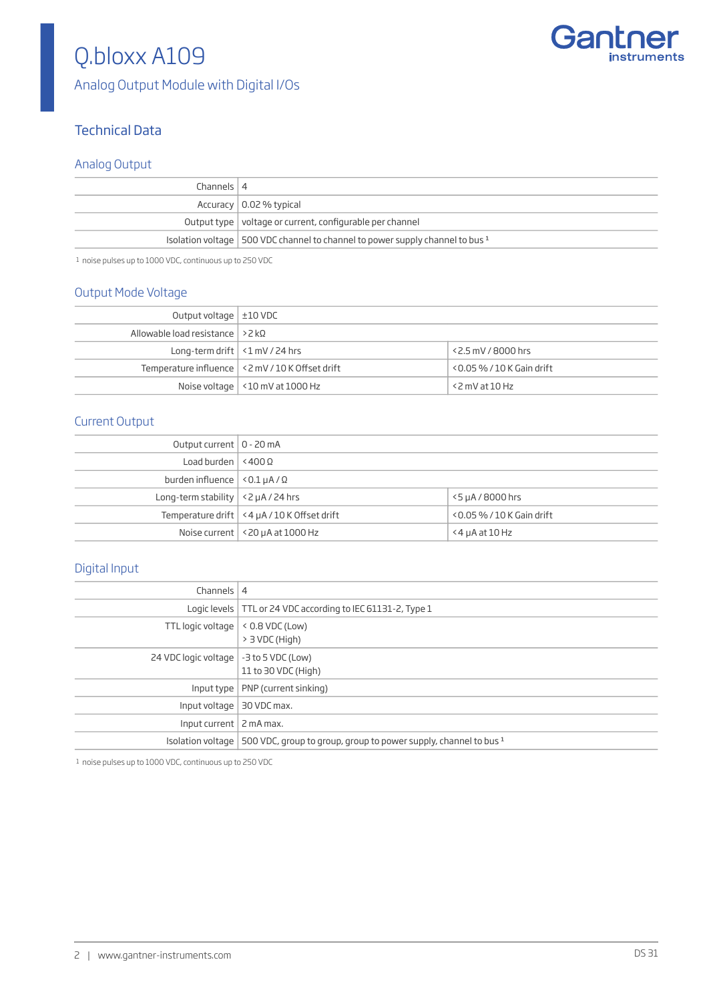

# Q.bloxx A109

Analog Output Module with Digital I/Os

## Technical Data

### Analog Output

| Channels $ 4$                                                                     |
|-----------------------------------------------------------------------------------|
| Accuracy $\vert$ 0.02 % typical                                                   |
| Output type   voltage or current, configurable per channel                        |
| Isolation voltage   500 VDC channel to channel to power supply channel to bus $1$ |
|                                                                                   |

1 noise pulses up to 1000 VDC, continuous up to 250 VDC

### Output Mode Voltage

| Output voltage $\pm 10$ VDC               |                                                   |                              |
|-------------------------------------------|---------------------------------------------------|------------------------------|
| Allowable load resistance $  > 2 k\Omega$ |                                                   |                              |
| Long-term drift $\vert$ <1 mV / 24 hrs    |                                                   | $<$ 2.5 mV / 8000 hrs        |
|                                           | Temperature influence   <2 mV / 10 K Offset drift | $<$ 0.05 % / 10 K Gain drift |
|                                           | Noise voltage   <10 mV at 1000 Hz                 | <2 mV at 10 Hz               |

### Current Output

| Output current   0 - 20 mA                      |                                             |                              |
|-------------------------------------------------|---------------------------------------------|------------------------------|
| Load burden $\vert$ <400 $\Omega$               |                                             |                              |
| burden influence $ $ < 0.1 $\mu$ A / $\Omega$   |                                             |                              |
| Long-term stability $\vert$ <2 $\mu$ A / 24 hrs |                                             | $5\mu A/B000$ hrs            |
|                                                 | Temperature drift <4 µA / 10 K Offset drift | $<$ 0.05 % / 10 K Gain drift |
|                                                 | Noise current $ $ < 20 $\mu$ A at 1000 Hz   | $<$ 4 $\mu$ A at 10 Hz       |

## Digital Input

| Channels $ 4$               |                                                                                        |
|-----------------------------|----------------------------------------------------------------------------------------|
|                             | Logic levels   TTL or 24 VDC according to IEC 61131-2, Type 1                          |
| TTL logic voltage           | $<$ 0.8 VDC (Low)<br>$> 3$ VDC (High)                                                  |
| 24 VDC logic voltage        | $-3$ to 5 VDC (Low)<br>11 to 30 VDC (High)                                             |
|                             | Input type $ $ PNP (current sinking)                                                   |
| Input voltage   30 VDC max. |                                                                                        |
| Input current   2 mA max.   |                                                                                        |
|                             | Isolation voltage   500 VDC, group to group, group to power supply, channel to bus $1$ |

1 noise pulses up to 1000 VDC, continuous up to 250 VDC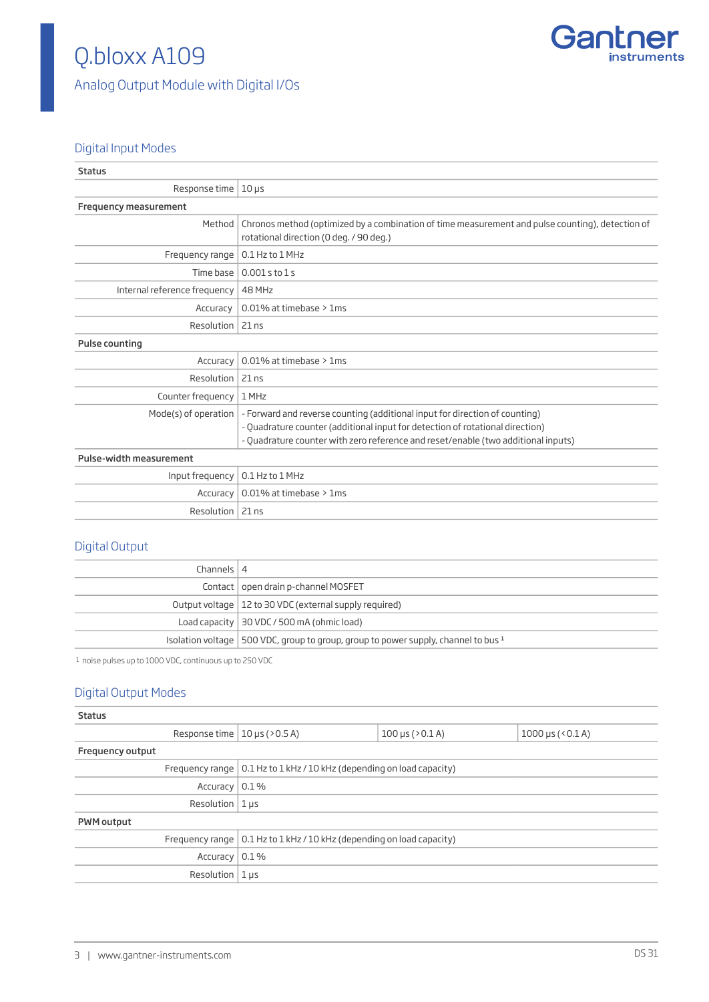

## Q.bloxx A109 Analog Output Module with Digital I/Os

### Digital Input Modes

| <b>Status</b>                |                                                                                                                                                                                                                                                   |
|------------------------------|---------------------------------------------------------------------------------------------------------------------------------------------------------------------------------------------------------------------------------------------------|
| Response time $\vert$ 10 µs  |                                                                                                                                                                                                                                                   |
| <b>Frequency measurement</b> |                                                                                                                                                                                                                                                   |
| Method                       | Chronos method (optimized by a combination of time measurement and pulse counting), detection of<br>rotational direction (0 deg. / 90 deg.)                                                                                                       |
| Frequency range              | 0.1 Hz to 1 MHz                                                                                                                                                                                                                                   |
| Time base                    | $0.001$ s to $1$ s                                                                                                                                                                                                                                |
| Internal reference frequency | 48 MHz                                                                                                                                                                                                                                            |
| Accuracy                     | 0.01% at timebase > 1ms                                                                                                                                                                                                                           |
| Resolution $ 21$ ns          |                                                                                                                                                                                                                                                   |
| Pulse counting               |                                                                                                                                                                                                                                                   |
| Accuracy                     | 0.01% at timebase > 1ms                                                                                                                                                                                                                           |
| Resolution                   | $21$ ns                                                                                                                                                                                                                                           |
| Counter frequency            | 1 MHz                                                                                                                                                                                                                                             |
| Mode(s) of operation         | - Forward and reverse counting (additional input for direction of counting)<br>- Quadrature counter (additional input for detection of rotational direction)<br>- Quadrature counter with zero reference and reset/enable (two additional inputs) |
| Pulse-width measurement      |                                                                                                                                                                                                                                                   |
| Input frequency              | 0.1 Hz to 1 MHz                                                                                                                                                                                                                                   |
| Accuracy                     | 0.01% at timebase > 1ms                                                                                                                                                                                                                           |
| Resolution   21 ns           |                                                                                                                                                                                                                                                   |

## Digital Output

| Channels $ 4$ |                                                                                        |
|---------------|----------------------------------------------------------------------------------------|
|               | Contact   open drain p-channel MOSFET                                                  |
|               | Output voltage   12 to 30 VDC (external supply required)                               |
|               | Load capacity $\vert$ 30 VDC / 500 mA (ohmic load)                                     |
|               | Isolation voltage   500 VDC, group to group, group to power supply, channel to bus $1$ |

1 noise pulses up to 1000 VDC, continuous up to 250 VDC

## Digital Output Modes

| <b>Status</b>                       |                                                                               |                        |                                   |
|-------------------------------------|-------------------------------------------------------------------------------|------------------------|-----------------------------------|
| Response time $ 10 \mu s (> 0.5 A)$ |                                                                               | $100 \mu s ( > 0.1 A)$ | $1000 \,\mu s \,(0.1 \,\text{A})$ |
| <b>Frequency output</b>             |                                                                               |                        |                                   |
|                                     | Frequency range $\vert$ 0.1 Hz to 1 kHz / 10 kHz (depending on load capacity) |                        |                                   |
| Accuracy   0.1 %                    |                                                                               |                        |                                   |
| Resolution $ 1 \text{ }\mu s$       |                                                                               |                        |                                   |
| <b>PWM</b> output                   |                                                                               |                        |                                   |
|                                     | Frequency range $\vert$ 0.1 Hz to 1 kHz / 10 kHz (depending on load capacity) |                        |                                   |
| Accuracy   0.1 %                    |                                                                               |                        |                                   |
| Resolution $ 1 \mu s$               |                                                                               |                        |                                   |